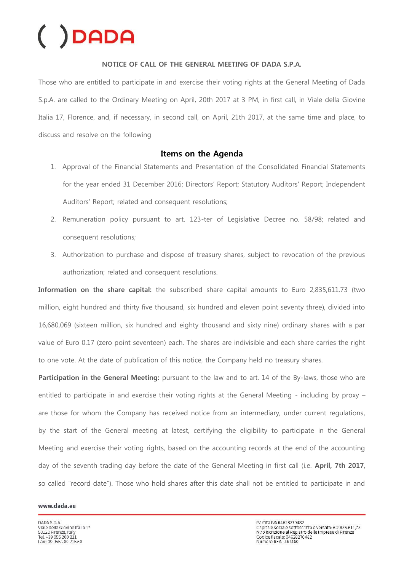# $( )$ DADA

### **NOTICE OF CALL OF THE GENERAL MEETING OF DADA S.P.A.**

Those who are entitled to participate in and exercise their voting rights at the General Meeting of Dada S.p.A. are called to the Ordinary Meeting on April, 20th 2017 at 3 PM, in first call, in Viale della Giovine Italia 17, Florence, and, if necessary, in second call, on April, 21th 2017, at the same time and place, to discuss and resolve on the following

### **Items on the Agenda**

- 1. Approval of the Financial Statements and Presentation of the Consolidated Financial Statements for the year ended 31 December 2016; Directors' Report; Statutory Auditors' Report; Independent Auditors' Report; related and consequent resolutions;
- 2. Remuneration policy pursuant to art. 123-ter of Legislative Decree no. 58/98; related and consequent resolutions;
- 3. Authorization to purchase and dispose of treasury shares, subject to revocation of the previous authorization; related and consequent resolutions.

**Information on the share capital:** the subscribed share capital amounts to Euro 2,835,611.73 (two million, eight hundred and thirty five thousand, six hundred and eleven point seventy three), divided into 16,680,069 (sixteen million, six hundred and eighty thousand and sixty nine) ordinary shares with a par value of Euro 0.17 (zero point seventeen) each. The shares are indivisible and each share carries the right to one vote. At the date of publication of this notice, the Company held no treasury shares.

**Participation in the General Meeting:** pursuant to the law and to art. 14 of the By-laws, those who are entitled to participate in and exercise their voting rights at the General Meeting - including by proxy – are those for whom the Company has received notice from an intermediary, under current regulations, by the start of the General meeting at latest, certifying the eligibility to participate in the General Meeting and exercise their voting rights, based on the accounting records at the end of the accounting day of the seventh trading day before the date of the General Meeting in first call (i.e. **April, 7th 2017**, so called "record date"). Those who hold shares after this date shall not be entitled to participate in and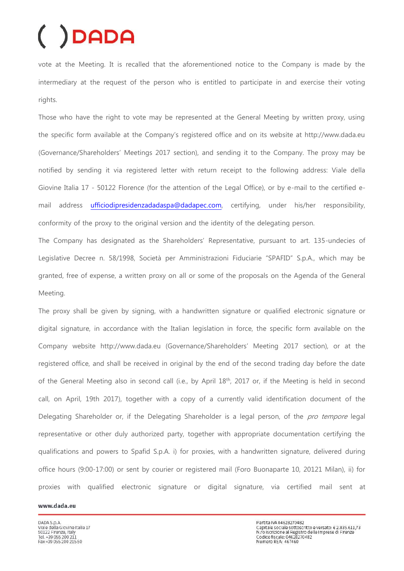## DADA

vote at the Meeting. It is recalled that the aforementioned notice to the Company is made by the intermediary at the request of the person who is entitled to participate in and exercise their voting rights.

Those who have the right to vote may be represented at the General Meeting by written proxy, using the specific form available at the Company's registered office and on its website at http://www.dada.eu (Governance/Shareholders' Meetings 2017 section), and sending it to the Company. The proxy may be notified by sending it via registered letter with return receipt to the following address: Viale della Giovine Italia 17 - 50122 Florence (for the attention of the Legal Office), or by e-mail to the certified email address [ufficiodipresidenzadadaspa@dadapec.com,](mailto:ufficiodipresidenzadadaspa@dadapec.com) certifying, under his/her responsibility, conformity of the proxy to the original version and the identity of the delegating person.

The Company has designated as the Shareholders' Representative, pursuant to art. 135-undecies of Legislative Decree n. 58/1998, Società per Amministrazioni Fiduciarie "SPAFID" S.p.A., which may be granted, free of expense, a written proxy on all or some of the proposals on the Agenda of the General Meeting.

The proxy shall be given by signing, with a handwritten signature or qualified electronic signature or digital signature, in accordance with the Italian legislation in force, the specific form available on the Company website http://www.dada.eu (Governance/Shareholders' Meeting 2017 section), or at the registered office, and shall be received in original by the end of the second trading day before the date of the General Meeting also in second call (i.e., by April 18<sup>th</sup>, 2017 or, if the Meeting is held in second call, on April, 19th 2017), together with a copy of a currently valid identification document of the Delegating Shareholder or, if the Delegating Shareholder is a legal person, of the *pro tempore* legal representative or other duly authorized party, together with appropriate documentation certifying the qualifications and powers to Spafid S.p.A. i) for proxies, with a handwritten signature, delivered during office hours (9:00-17:00) or sent by courier or registered mail (Foro Buonaparte 10, 20121 Milan), ii) for proxies with qualified electronic signature or digital signature, via certified mail sent at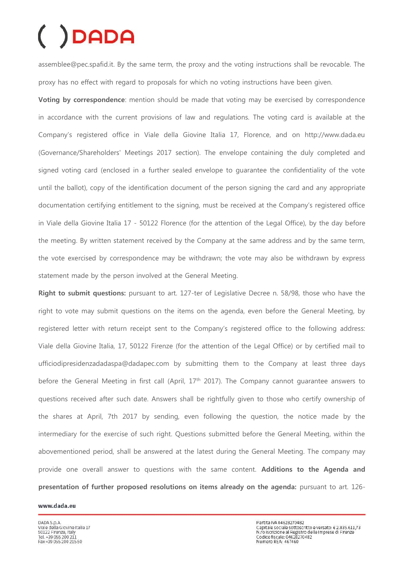# DADA

assemblee@pec.spafid.it. By the same term, the proxy and the voting instructions shall be revocable. The proxy has no effect with regard to proposals for which no voting instructions have been given.

**Voting by correspondence**: mention should be made that voting may be exercised by correspondence in accordance with the current provisions of law and regulations. The voting card is available at the Company's registered office in Viale della Giovine Italia 17, Florence, and on http://www.dada.eu (Governance/Shareholders' Meetings 2017 section). The envelope containing the duly completed and signed voting card (enclosed in a further sealed envelope to guarantee the confidentiality of the vote until the ballot), copy of the identification document of the person signing the card and any appropriate documentation certifying entitlement to the signing, must be received at the Company's registered office in Viale della Giovine Italia 17 - 50122 Florence (for the attention of the Legal Office), by the day before the meeting. By written statement received by the Company at the same address and by the same term, the vote exercised by correspondence may be withdrawn; the vote may also be withdrawn by express statement made by the person involved at the General Meeting.

**Right to submit questions:** pursuant to art. 127-ter of Legislative Decree n. 58/98, those who have the right to vote may submit questions on the items on the agenda, even before the General Meeting, by registered letter with return receipt sent to the Company's registered office to the following address: Viale della Giovine Italia, 17, 50122 Firenze (for the attention of the Legal Office) or by certified mail to ufficiodipresidenzadadaspa@dadapec.com by submitting them to the Company at least three days before the General Meeting in first call (April, 17<sup>th</sup> 2017). The Company cannot guarantee answers to questions received after such date. Answers shall be rightfully given to those who certify ownership of the shares at April, 7th 2017 by sending, even following the question, the notice made by the intermediary for the exercise of such right. Questions submitted before the General Meeting, within the abovementioned period, shall be answered at the latest during the General Meeting. The company may provide one overall answer to questions with the same content. **Additions to the Agenda and presentation of further proposed resolutions on items already on the agenda:** pursuant to art. 126-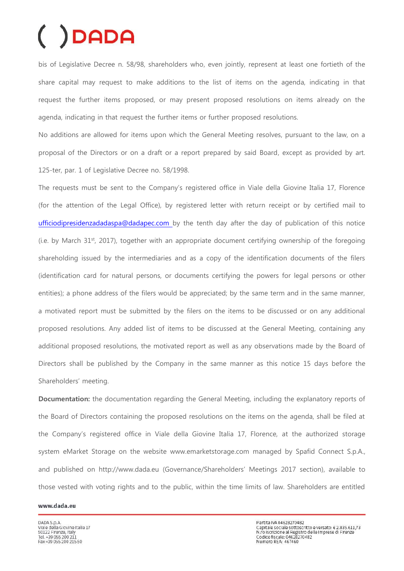# )DADA

bis of Legislative Decree n. 58/98, shareholders who, even jointly, represent at least one fortieth of the share capital may request to make additions to the list of items on the agenda, indicating in that request the further items proposed, or may present proposed resolutions on items already on the agenda, indicating in that request the further items or further proposed resolutions.

No additions are allowed for items upon which the General Meeting resolves, pursuant to the law, on a proposal of the Directors or on a draft or a report prepared by said Board, except as provided by art. 125-ter, par. 1 of Legislative Decree no. 58/1998.

The requests must be sent to the Company's registered office in Viale della Giovine Italia 17, Florence (for the attention of the Legal Office), by registered letter with return receipt or by certified mail to [ufficiodipresidenzadadaspa@dadapec.com b](mailto:ufficiodipresidenzadadaspa@dadapec.com)y the tenth day after the day of publication of this notice (i.e. by March 31st, 2017), together with an appropriate document certifying ownership of the foregoing shareholding issued by the intermediaries and as a copy of the identification documents of the filers (identification card for natural persons, or documents certifying the powers for legal persons or other entities); a phone address of the filers would be appreciated; by the same term and in the same manner, a motivated report must be submitted by the filers on the items to be discussed or on any additional proposed resolutions. Any added list of items to be discussed at the General Meeting, containing any additional proposed resolutions, the motivated report as well as any observations made by the Board of Directors shall be published by the Company in the same manner as this notice 15 days before the Shareholders' meeting.

**Documentation:** the documentation regarding the General Meeting, including the explanatory reports of the Board of Directors containing the proposed resolutions on the items on the agenda, shall be filed at the Company's registered office in Viale della Giovine Italia 17, Florence, at the authorized storage system eMarket Storage on the website [www.emarketstorage.com](http://www.emarketstorage.com/) managed by Spafid Connect S.p.A., and published on http://www.dada.eu (Governance/Shareholders' Meetings 2017 section), available to those vested with voting rights and to the public, within the time limits of law. Shareholders are entitled